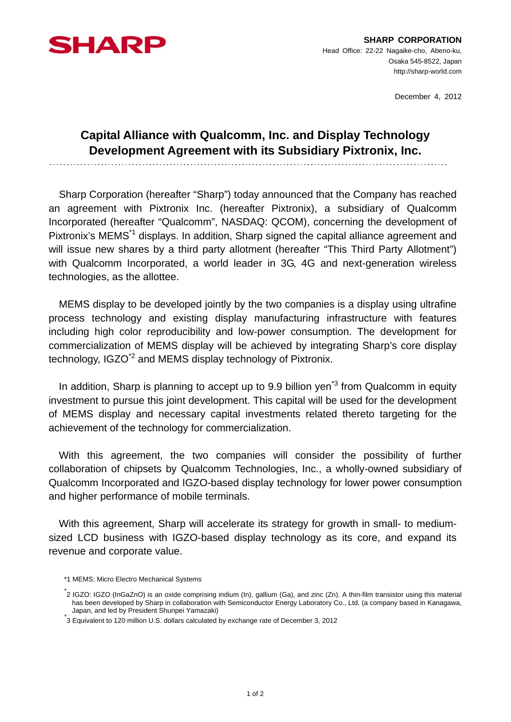

December 4, 2012

## **Capital Alliance with Qualcomm, Inc. and Display Technology Development Agreement with its Subsidiary Pixtronix, Inc.**

Sharp Corporation (hereafter "Sharp") today announced that the Company has reached an agreement with Pixtronix Inc. (hereafter Pixtronix), a subsidiary of Qualcomm Incorporated (hereafter "Qualcomm", NASDAQ: QCOM), concerning the development of Pixtronix's MEMS<sup>\*1</sup> displays. In addition, Sharp signed the capital alliance agreement and will issue new shares by a third party allotment (hereafter "This Third Party Allotment") with Qualcomm Incorporated, a world leader in 3G, 4G and next-generation wireless technologies, as the allottee.

MEMS display to be developed jointly by the two companies is a display using ultrafine process technology and existing display manufacturing infrastructure with features including high color reproducibility and low-power consumption. The development for commercialization of MEMS display will be achieved by integrating Sharp's core display technology, IGZO<sup>\*2</sup> and MEMS display technology of Pixtronix.

In addition, Sharp is planning to accept up to 9.9 billion yen<sup>\*3</sup> from Qualcomm in equity investment to pursue this joint development. This capital will be used for the development of MEMS display and necessary capital investments related thereto targeting for the achievement of the technology for commercialization.

With this agreement, the two companies will consider the possibility of further collaboration of chipsets by Qualcomm Technologies, Inc., a wholly-owned subsidiary of Qualcomm Incorporated and IGZO-based display technology for lower power consumption and higher performance of mobile terminals.

With this agreement. Sharp will accelerate its strategy for growth in small- to mediumsized LCD business with IGZO-based display technology as its core, and expand its revenue and corporate value.

<sup>\*1</sup> MEMS: Micro Electro Mechanical Systems

<sup>\*</sup> 2 IGZO: IGZO (InGaZnO) is an oxide comprising indium (In), gallium (Ga), and zinc (Zn). A thin-film transistor using this material has been developed by Sharp in collaboration with Semiconductor Energy Laboratory Co., Ltd. (a company based in Kanagawa, Japan, and led by President Shunpei Yamazaki) \*

<sup>3</sup> Equivalent to 120 million U.S. dollars calculated by exchange rate of December 3, 2012